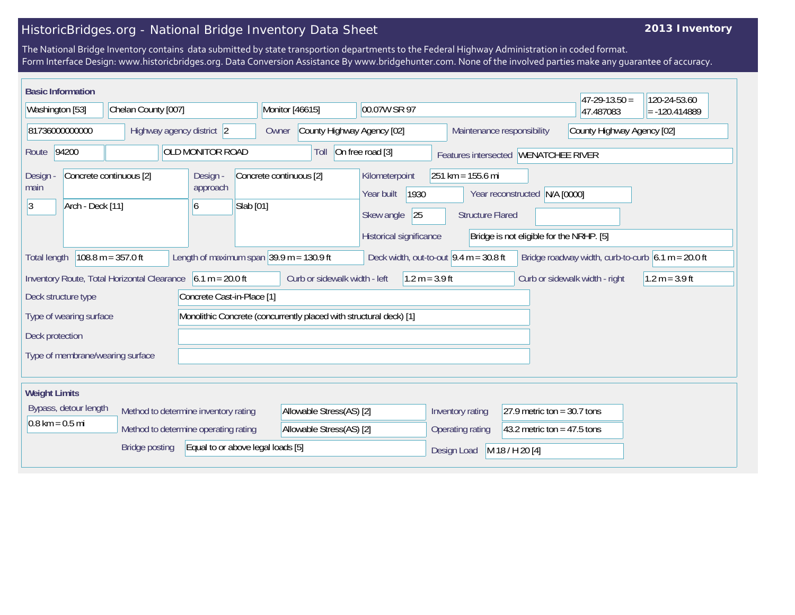# HistoricBridges.org - National Bridge Inventory Data Sheet

## **2013 Inventory**

The National Bridge Inventory contains data submitted by state transportion departments to the Federal Highway Administration in coded format. Form Interface Design: www.historicbridges.org. Data Conversion Assistance By www.bridgehunter.com. None of the involved parties make any guarantee of accuracy.

|                                                                                                       | <b>Basic Information</b>                                                                                                                                                                                                        |                                             |           |                                                                                                                                       |                                                                  |                                                                     |                                                                    |                               |                  |                                |  |                               |  | $47 - 29 - 13.50 =$            | 120-24-53.60     |
|-------------------------------------------------------------------------------------------------------|---------------------------------------------------------------------------------------------------------------------------------------------------------------------------------------------------------------------------------|---------------------------------------------|-----------|---------------------------------------------------------------------------------------------------------------------------------------|------------------------------------------------------------------|---------------------------------------------------------------------|--------------------------------------------------------------------|-------------------------------|------------------|--------------------------------|--|-------------------------------|--|--------------------------------|------------------|
| Washington [53]                                                                                       |                                                                                                                                                                                                                                 | Chelan County [007]                         |           |                                                                                                                                       |                                                                  | Monitor [46615]<br>00.07W SR 97                                     |                                                                    |                               |                  |                                |  |                               |  | 47.487083                      | $= -120.414889$  |
|                                                                                                       | 81736000000000                                                                                                                                                                                                                  |                                             |           | Highway agency district 2                                                                                                             |                                                                  | Owner                                                               |                                                                    | County Highway Agency [02]    |                  |                                |  | Maintenance responsibility    |  | County Highway Agency [02]     |                  |
| OLD MONITOR ROAD<br>94200<br>Route                                                                    |                                                                                                                                                                                                                                 |                                             |           |                                                                                                                                       | On free road [3]<br>Toll<br>Features intersected WENATCHEE RIVER |                                                                     |                                                                    |                               |                  |                                |  |                               |  |                                |                  |
| Concrete continuous [2]<br>Design -<br>Design<br>approach<br>main<br> 3 <br>Arch - Deck [11]<br>6     |                                                                                                                                                                                                                                 |                                             | Slab [01] | Concrete continuous [2]<br>$251 km = 155.6 mi$<br>Kilometerpoint<br>1930<br>Year built<br>25<br>Skew angle<br><b>Structure Flared</b> |                                                                  |                                                                     |                                                                    | Year reconstructed N/A [0000] |                  |                                |  |                               |  |                                |                  |
|                                                                                                       |                                                                                                                                                                                                                                 |                                             |           |                                                                                                                                       |                                                                  | Historical significance<br>Bridge is not eligible for the NRHP. [5] |                                                                    |                               |                  |                                |  |                               |  |                                |                  |
|                                                                                                       | Length of maximum span $ 39.9 \text{ m} = 130.9 \text{ ft} $<br>Deck width, out-to-out $9.4 \text{ m} = 30.8 \text{ ft}$<br>$108.8 m = 357.0 ft$<br>Bridge roadway width, curb-to-curb $6.1 m = 20.0 ft$<br><b>Total length</b> |                                             |           |                                                                                                                                       |                                                                  |                                                                     |                                                                    |                               |                  |                                |  |                               |  |                                |                  |
|                                                                                                       |                                                                                                                                                                                                                                 | Inventory Route, Total Horizontal Clearance |           | $6.1 m = 20.0 ft$                                                                                                                     |                                                                  |                                                                     | Curb or sidewalk width - left                                      |                               | $1.2 m = 3.9 ft$ |                                |  |                               |  | Curb or sidewalk width - right | $1.2 m = 3.9 ft$ |
|                                                                                                       | Deck structure type                                                                                                                                                                                                             |                                             |           |                                                                                                                                       | Concrete Cast-in-Place [1]                                       |                                                                     |                                                                    |                               |                  |                                |  |                               |  |                                |                  |
|                                                                                                       | Type of wearing surface                                                                                                                                                                                                         |                                             |           |                                                                                                                                       |                                                                  |                                                                     | Monolithic Concrete (concurrently placed with structural deck) [1] |                               |                  |                                |  |                               |  |                                |                  |
| Deck protection                                                                                       |                                                                                                                                                                                                                                 |                                             |           |                                                                                                                                       |                                                                  |                                                                     |                                                                    |                               |                  |                                |  |                               |  |                                |                  |
|                                                                                                       |                                                                                                                                                                                                                                 | Type of membrane/wearing surface            |           |                                                                                                                                       |                                                                  |                                                                     |                                                                    |                               |                  |                                |  |                               |  |                                |                  |
| <b>Weight Limits</b>                                                                                  |                                                                                                                                                                                                                                 |                                             |           |                                                                                                                                       |                                                                  |                                                                     |                                                                    |                               |                  |                                |  |                               |  |                                |                  |
|                                                                                                       | Bypass, detour length                                                                                                                                                                                                           |                                             |           | Method to determine inventory rating                                                                                                  |                                                                  | Allowable Stress(AS) [2]                                            |                                                                    |                               |                  | Inventory rating               |  | 27.9 metric ton = $30.7$ tons |  |                                |                  |
| $0.8 \text{ km} = 0.5 \text{ mi}$<br>Method to determine operating rating<br>Allowable Stress(AS) [2] |                                                                                                                                                                                                                                 |                                             |           |                                                                                                                                       |                                                                  | Operating rating                                                    |                                                                    | 43.2 metric ton = $47.5$ tons |                  |                                |  |                               |  |                                |                  |
|                                                                                                       |                                                                                                                                                                                                                                 | <b>Bridge posting</b>                       |           |                                                                                                                                       | Equal to or above legal loads [5]                                |                                                                     |                                                                    |                               |                  | Design Load<br>M 18 / H 20 [4] |  |                               |  |                                |                  |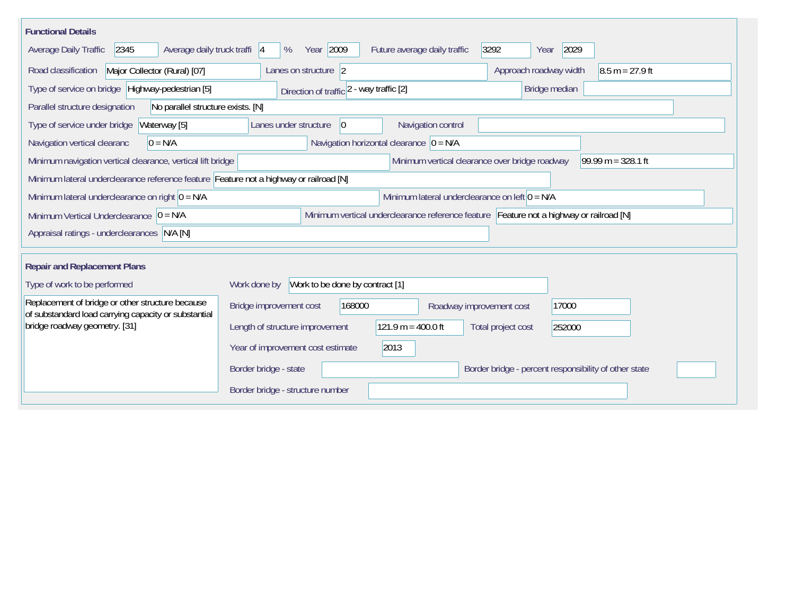| <b>Functional Details</b>                                                                                |                                                                                                                                       |  |  |  |  |  |  |  |  |  |
|----------------------------------------------------------------------------------------------------------|---------------------------------------------------------------------------------------------------------------------------------------|--|--|--|--|--|--|--|--|--|
| 2345<br>Average daily truck traffi 4<br>Average Daily Traffic                                            | Year 2009<br>2029<br>3292<br>Future average daily traffic<br>%<br>Year                                                                |  |  |  |  |  |  |  |  |  |
| Major Collector (Rural) [07]<br>Road classification                                                      | $8.5 m = 27.9 ft$<br>Approach roadway width<br>Lanes on structure 2                                                                   |  |  |  |  |  |  |  |  |  |
| Type of service on bridge Highway-pedestrian [5]                                                         | Bridge median<br>Direction of traffic 2 - way traffic [2]                                                                             |  |  |  |  |  |  |  |  |  |
| Parallel structure designation<br>No parallel structure exists. [N]                                      |                                                                                                                                       |  |  |  |  |  |  |  |  |  |
| Waterway [5]<br>Type of service under bridge                                                             | Navigation control<br>Lanes under structure<br>$\overline{0}$                                                                         |  |  |  |  |  |  |  |  |  |
| Navigation vertical clearanc<br>$0 = N/A$                                                                | Navigation horizontal clearance $ 0 = N/A$                                                                                            |  |  |  |  |  |  |  |  |  |
|                                                                                                          | Minimum vertical clearance over bridge roadway<br>99.99 m = $328.1$ ft<br>Minimum navigation vertical clearance, vertical lift bridge |  |  |  |  |  |  |  |  |  |
| Minimum lateral underclearance reference feature Feature not a highway or railroad [N]                   |                                                                                                                                       |  |  |  |  |  |  |  |  |  |
| Minimum lateral underclearance on right $0 = N/A$                                                        | Minimum lateral underclearance on left $0 = N/A$                                                                                      |  |  |  |  |  |  |  |  |  |
| Minimum Vertical Underclearance $ 0 = N/A$                                                               | Minimum vertical underclearance reference feature Feature not a highway or railroad [N]                                               |  |  |  |  |  |  |  |  |  |
| Appraisal ratings - underclearances N/A [N]                                                              |                                                                                                                                       |  |  |  |  |  |  |  |  |  |
|                                                                                                          |                                                                                                                                       |  |  |  |  |  |  |  |  |  |
| <b>Repair and Replacement Plans</b>                                                                      |                                                                                                                                       |  |  |  |  |  |  |  |  |  |
| Type of work to be performed                                                                             | Work to be done by contract [1]<br>Work done by                                                                                       |  |  |  |  |  |  |  |  |  |
| Replacement of bridge or other structure because<br>of substandard load carrying capacity or substantial | Bridge improvement cost<br>168000<br>17000<br>Roadway improvement cost                                                                |  |  |  |  |  |  |  |  |  |
| bridge roadway geometry. [31]                                                                            | $121.9 m = 400.0 ft$<br>Length of structure improvement<br>Total project cost<br>252000                                               |  |  |  |  |  |  |  |  |  |
|                                                                                                          | 2013<br>Year of improvement cost estimate                                                                                             |  |  |  |  |  |  |  |  |  |
|                                                                                                          | Border bridge - state<br>Border bridge - percent responsibility of other state                                                        |  |  |  |  |  |  |  |  |  |
|                                                                                                          | Border bridge - structure number                                                                                                      |  |  |  |  |  |  |  |  |  |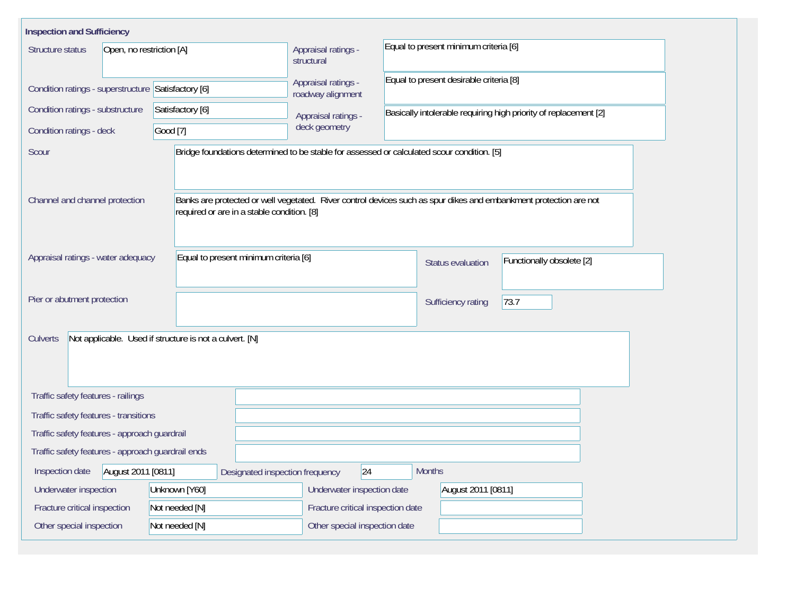| <b>Inspection and Sufficiency</b>                   |                                                                                                                                                                 |                                          |                                                                  |                           |  |  |  |  |  |
|-----------------------------------------------------|-----------------------------------------------------------------------------------------------------------------------------------------------------------------|------------------------------------------|------------------------------------------------------------------|---------------------------|--|--|--|--|--|
| Structure status<br>Open, no restriction [A]        |                                                                                                                                                                 | Appraisal ratings -<br>structural        | Equal to present minimum criteria [6]                            |                           |  |  |  |  |  |
| Condition ratings - superstructure Satisfactory [6] |                                                                                                                                                                 | Appraisal ratings -<br>roadway alignment | Equal to present desirable criteria [8]                          |                           |  |  |  |  |  |
| Condition ratings - substructure                    | Satisfactory [6]                                                                                                                                                | Appraisal ratings -                      | Basically intolerable requiring high priority of replacement [2] |                           |  |  |  |  |  |
| Condition ratings - deck                            | Good [7]                                                                                                                                                        | deck geometry                            |                                                                  |                           |  |  |  |  |  |
| Scour                                               | Bridge foundations determined to be stable for assessed or calculated scour condition. [5]                                                                      |                                          |                                                                  |                           |  |  |  |  |  |
| Channel and channel protection                      | Banks are protected or well vegetated. River control devices such as spur dikes and embankment protection are not<br>required or are in a stable condition. [8] |                                          |                                                                  |                           |  |  |  |  |  |
| Appraisal ratings - water adequacy                  | Equal to present minimum criteria [6]                                                                                                                           |                                          | Status evaluation                                                | Functionally obsolete [2] |  |  |  |  |  |
| Pier or abutment protection                         |                                                                                                                                                                 |                                          | 73.7<br>Sufficiency rating                                       |                           |  |  |  |  |  |
| Culverts                                            | Not applicable. Used if structure is not a culvert. [N]                                                                                                         |                                          |                                                                  |                           |  |  |  |  |  |
| Traffic safety features - railings                  |                                                                                                                                                                 |                                          |                                                                  |                           |  |  |  |  |  |
| Traffic safety features - transitions               |                                                                                                                                                                 |                                          |                                                                  |                           |  |  |  |  |  |
| Traffic safety features - approach guardrail        |                                                                                                                                                                 |                                          |                                                                  |                           |  |  |  |  |  |
| Traffic safety features - approach guardrail ends   |                                                                                                                                                                 |                                          |                                                                  |                           |  |  |  |  |  |
| August 2011 [0811]<br>Inspection date               | Designated inspection frequency                                                                                                                                 | 24                                       | <b>Months</b>                                                    |                           |  |  |  |  |  |
| Underwater inspection                               | Unknown [Y60]                                                                                                                                                   | Underwater inspection date               |                                                                  | August 2011 [0811]        |  |  |  |  |  |
| Fracture critical inspection                        | Not needed [N]                                                                                                                                                  | Fracture critical inspection date        |                                                                  |                           |  |  |  |  |  |
| Other special inspection                            | Not needed [N]                                                                                                                                                  |                                          | Other special inspection date                                    |                           |  |  |  |  |  |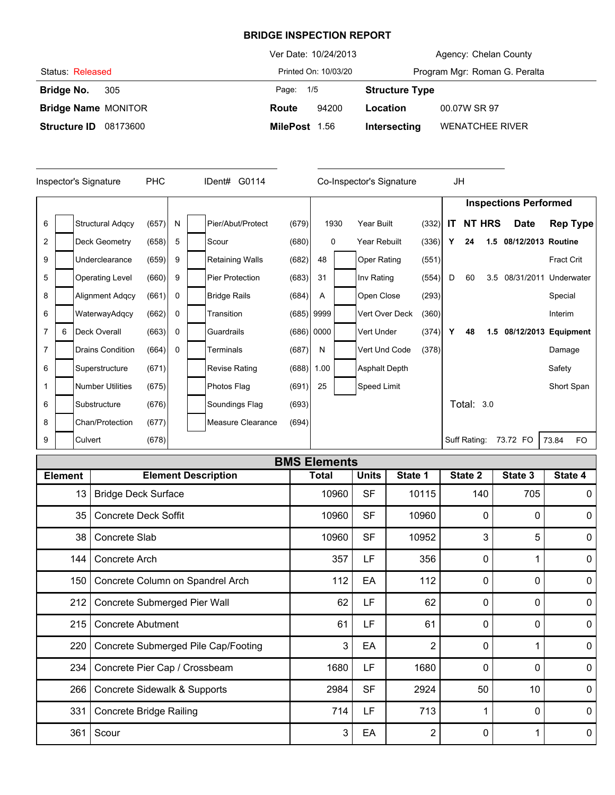|                                 | Ver Date: 10/24/2013 | Agency: Chelan County                  |
|---------------------------------|----------------------|----------------------------------------|
| Status Released                 | Printed On: 10/03/20 | Program Mgr: Roman G. Peralta          |
| <b>Bridge No.</b><br>305        | Page: 1/5            | <b>Structure Type</b>                  |
| <b>Bridge Name MONITOR</b>      | 94200<br>Route       | 00.07W SR 97<br>Location               |
| <b>Structure ID</b><br>08173600 | MilePost 1.56        | <b>WENATCHEE RIVER</b><br>Intersecting |

| <b>PHC</b><br>Inspector's Signature |   |                         | IDent# G0114 |   |  | Co-Inspector's Signature |       |              | JH |                      |       |              |    |               |                              |                   |                 |
|-------------------------------------|---|-------------------------|--------------|---|--|--------------------------|-------|--------------|----|----------------------|-------|--------------|----|---------------|------------------------------|-------------------|-----------------|
|                                     |   |                         |              |   |  |                          |       |              |    |                      |       |              |    |               | <b>Inspections Performed</b> |                   |                 |
| 6                                   |   | <b>Structural Adgcy</b> | (657)        | N |  | Pier/Abut/Protect        | (679) | 1930         |    | Year Built           | (332) | IT.          |    | <b>NT HRS</b> | <b>Date</b>                  |                   | <b>Rep Type</b> |
| $\overline{2}$                      |   | Deck Geometry           | (658)        | 5 |  | Scour                    | (680) | 0            |    | Year Rebuilt         | (336) | Υ            | 24 | 1.5           | 08/12/2013 Routine           |                   |                 |
| 9                                   |   | Underclearance          | (659)        | 9 |  | <b>Retaining Walls</b>   | (682) | 48           |    | <b>Oper Rating</b>   | (551) |              |    |               |                              | <b>Fract Crit</b> |                 |
| 5                                   |   | <b>Operating Level</b>  | (660)        | 9 |  | <b>Pier Protection</b>   | (683) | 31           |    | Inv Rating           | (554) | D            | 60 | 3.5           | 08/31/2011                   | Underwater        |                 |
| 8                                   |   | Alignment Adgcy         | (661)        | 0 |  | <b>Bridge Rails</b>      | (684) | A            |    | Open Close           | (293) |              |    |               |                              | Special           |                 |
| 6                                   |   | WaterwayAdqcy           | (662)        | 0 |  | Transition               |       | $(685)$ 9999 |    | Vert Over Deck       | (360) |              |    |               |                              | Interim           |                 |
| $\overline{7}$                      | 6 | Deck Overall            | (663)        | 0 |  | Guardrails               |       | $(686)$ 0000 |    | Vert Under           | (374) | Υ            | 48 | 1.5           | 08/12/2013 Equipment         |                   |                 |
| $\overline{7}$                      |   | <b>Drains Condition</b> | (664)        | 0 |  | Terminals                | (687) | N            |    | Vert Und Code        | (378) |              |    |               |                              | Damage            |                 |
| 6                                   |   | Superstructure          | (671)        |   |  | <b>Revise Rating</b>     | (688) | 1.00         |    | <b>Asphalt Depth</b> |       |              |    |               |                              | Safety            |                 |
|                                     |   | <b>Number Utilities</b> | (675)        |   |  | Photos Flag              | (691) | 25           |    | Speed Limit          |       |              |    |               |                              | Short Span        |                 |
| 6                                   |   | Substructure            | (676)        |   |  | Soundings Flag           | (693) |              |    |                      |       |              |    | Total: 3.0    |                              |                   |                 |
| 8                                   |   | Chan/Protection         | (677)        |   |  | Measure Clearance        | (694) |              |    |                      |       |              |    |               |                              |                   |                 |
| 9                                   |   | Culvert                 | (678)        |   |  |                          |       |              |    |                      |       | Suff Rating: |    |               | 73.72 FO                     | 73.84             | <b>FO</b>       |

|                | <b>BMS Elements</b>                 |              |              |         |              |         |              |  |  |  |  |  |  |
|----------------|-------------------------------------|--------------|--------------|---------|--------------|---------|--------------|--|--|--|--|--|--|
| <b>Element</b> | <b>Element Description</b>          | <b>Total</b> | <b>Units</b> | State 1 | State 2      | State 3 | State 4      |  |  |  |  |  |  |
| 13             | <b>Bridge Deck Surface</b>          | 10960        | <b>SF</b>    | 10115   | 140          | 705     | 0            |  |  |  |  |  |  |
| 35             | <b>Concrete Deck Soffit</b>         | 10960        | <b>SF</b>    | 10960   | 0            | 0       | $\mathbf{0}$ |  |  |  |  |  |  |
| 38             | Concrete Slab                       | 10960        | <b>SF</b>    | 10952   | 3            | 5       | $\mathbf 0$  |  |  |  |  |  |  |
| 144            | Concrete Arch                       | 357          | LF           | 356     | 0            |         | $\mathbf 0$  |  |  |  |  |  |  |
| 150            | Concrete Column on Spandrel Arch    | 112          | EA           | 112     | 0            | 0       | 0            |  |  |  |  |  |  |
| 212            | Concrete Submerged Pier Wall        | 62           | LF           | 62      | 0            | 0       | 0            |  |  |  |  |  |  |
| 215            | Concrete Abutment                   | 61           | LF           | 61      | 0            | 0       | $\mathbf{0}$ |  |  |  |  |  |  |
| 220            | Concrete Submerged Pile Cap/Footing | 3            | EA           | 2       | 0            |         | $\mathbf 0$  |  |  |  |  |  |  |
| 234            | Concrete Pier Cap / Crossbeam       | 1680         | LF           | 1680    | $\mathbf{0}$ | 0       | $\mathbf 0$  |  |  |  |  |  |  |
| 266            | Concrete Sidewalk & Supports        | 2984         | <b>SF</b>    | 2924    | 50           | 10      | $\mathbf 0$  |  |  |  |  |  |  |
| 331            | <b>Concrete Bridge Railing</b>      | 714          | LF           | 713     | 1            | 0       | $\mathbf 0$  |  |  |  |  |  |  |
| 361            | Scour                               | 3            | EA           | 2       | 0            |         | 0            |  |  |  |  |  |  |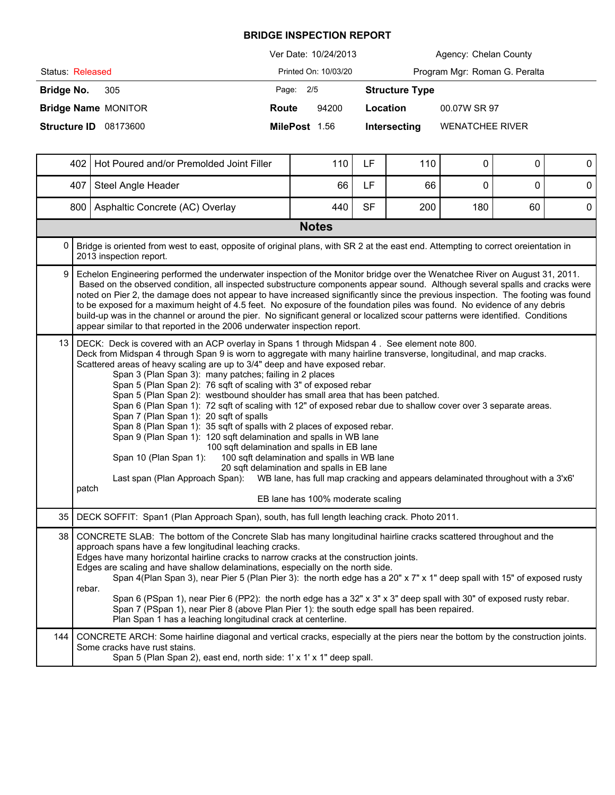|                                 | Ver Date: 10/24/2013               | Agency: Chelan County         |
|---------------------------------|------------------------------------|-------------------------------|
| Status: Released                | Printed On: 10/03/20               | Program Mgr: Roman G. Peralta |
| Bridge No.<br>305               | Page: 2/5<br><b>Structure Type</b> |                               |
| <b>Bridge Name MONITOR</b>      | 94200<br>Location<br>Route         | 00.07W SR 97                  |
| <b>Structure ID</b><br>08173600 | MilePost 1.56<br>Intersecting      | <b>WENATCHEE RIVER</b>        |

|      | 402<br>Hot Poured and/or Premolded Joint Filler                                                                                                                                                                                                                                                                                                                                                                                                                                                                                                                                                                                                                                                                                           |                                                                                                                                                                                                                                                                                                                                                                                                                                                                                                                                                                                                                                                                                                                                                                                                                                                                                                                                                                                                                                               | 110                                                                                                                 | <b>LF</b> | 110 | 0   | $\Omega$ | $\pmb{0}$   |  |  |  |
|------|-------------------------------------------------------------------------------------------------------------------------------------------------------------------------------------------------------------------------------------------------------------------------------------------------------------------------------------------------------------------------------------------------------------------------------------------------------------------------------------------------------------------------------------------------------------------------------------------------------------------------------------------------------------------------------------------------------------------------------------------|-----------------------------------------------------------------------------------------------------------------------------------------------------------------------------------------------------------------------------------------------------------------------------------------------------------------------------------------------------------------------------------------------------------------------------------------------------------------------------------------------------------------------------------------------------------------------------------------------------------------------------------------------------------------------------------------------------------------------------------------------------------------------------------------------------------------------------------------------------------------------------------------------------------------------------------------------------------------------------------------------------------------------------------------------|---------------------------------------------------------------------------------------------------------------------|-----------|-----|-----|----------|-------------|--|--|--|
|      | 407                                                                                                                                                                                                                                                                                                                                                                                                                                                                                                                                                                                                                                                                                                                                       | Steel Angle Header                                                                                                                                                                                                                                                                                                                                                                                                                                                                                                                                                                                                                                                                                                                                                                                                                                                                                                                                                                                                                            | 66                                                                                                                  | LF        | 66  | 0   | $\Omega$ | $\mathbf 0$ |  |  |  |
|      | 800                                                                                                                                                                                                                                                                                                                                                                                                                                                                                                                                                                                                                                                                                                                                       | Asphaltic Concrete (AC) Overlay                                                                                                                                                                                                                                                                                                                                                                                                                                                                                                                                                                                                                                                                                                                                                                                                                                                                                                                                                                                                               | 440                                                                                                                 | <b>SF</b> | 200 | 180 | 60       | 0           |  |  |  |
|      | <b>Notes</b>                                                                                                                                                                                                                                                                                                                                                                                                                                                                                                                                                                                                                                                                                                                              |                                                                                                                                                                                                                                                                                                                                                                                                                                                                                                                                                                                                                                                                                                                                                                                                                                                                                                                                                                                                                                               |                                                                                                                     |           |     |     |          |             |  |  |  |
| 0    | Bridge is oriented from west to east, opposite of original plans, with SR 2 at the east end. Attempting to correct oreientation in<br>2013 inspection report.                                                                                                                                                                                                                                                                                                                                                                                                                                                                                                                                                                             |                                                                                                                                                                                                                                                                                                                                                                                                                                                                                                                                                                                                                                                                                                                                                                                                                                                                                                                                                                                                                                               |                                                                                                                     |           |     |     |          |             |  |  |  |
| 9    | Echelon Engineering performed the underwater inspection of the Monitor bridge over the Wenatchee River on August 31, 2011.<br>Based on the observed condition, all inspected substructure components appear sound. Although several spalls and cracks were<br>noted on Pier 2, the damage does not appear to have increased significantly since the previous inspection. The footing was found<br>to be exposed for a maximum height of 4.5 feet. No exposure of the foundation piles was found. No evidence of any debris<br>build-up was in the channel or around the pier. No significant general or localized scour patterns were identified. Conditions<br>appear similar to that reported in the 2006 underwater inspection report. |                                                                                                                                                                                                                                                                                                                                                                                                                                                                                                                                                                                                                                                                                                                                                                                                                                                                                                                                                                                                                                               |                                                                                                                     |           |     |     |          |             |  |  |  |
| 13   | patch                                                                                                                                                                                                                                                                                                                                                                                                                                                                                                                                                                                                                                                                                                                                     | DECK: Deck is covered with an ACP overlay in Spans 1 through Midspan 4. See element note 800.<br>Deck from Midspan 4 through Span 9 is worn to aggregate with many hairline transverse, longitudinal, and map cracks.<br>Scattered areas of heavy scaling are up to 3/4" deep and have exposed rebar.<br>Span 3 (Plan Span 3): many patches; failing in 2 places<br>Span 5 (Plan Span 2): 76 sqft of scaling with 3" of exposed rebar<br>Span 5 (Plan Span 2): westbound shoulder has small area that has been patched.<br>Span 6 (Plan Span 1): 72 sqft of scaling with 12" of exposed rebar due to shallow cover over 3 separate areas.<br>Span 7 (Plan Span 1): 20 sqft of spalls<br>Span 8 (Plan Span 1): 35 sqft of spalls with 2 places of exposed rebar.<br>Span 9 (Plan Span 1): 120 sqft delamination and spalls in WB lane<br>100 sqft delamination and spalls in EB lane<br>100 sqft delamination and spalls in WB lane<br>Span 10 (Plan Span 1):<br>20 sqft delamination and spalls in EB lane<br>Last span (Plan Approach Span): | WB lane, has full map cracking and appears delaminated throughout with a 3'x6'<br>EB lane has 100% moderate scaling |           |     |     |          |             |  |  |  |
| 35 I |                                                                                                                                                                                                                                                                                                                                                                                                                                                                                                                                                                                                                                                                                                                                           | DECK SOFFIT: Span1 (Plan Approach Span), south, has full length leaching crack. Photo 2011.                                                                                                                                                                                                                                                                                                                                                                                                                                                                                                                                                                                                                                                                                                                                                                                                                                                                                                                                                   |                                                                                                                     |           |     |     |          |             |  |  |  |
| 38   | rebar.                                                                                                                                                                                                                                                                                                                                                                                                                                                                                                                                                                                                                                                                                                                                    | CONCRETE SLAB: The bottom of the Concrete Slab has many longitudinal hairline cracks scattered throughout and the<br>approach spans have a few longitudinal leaching cracks.<br>Edges have many horizontal hairline cracks to narrow cracks at the construction joints.<br>Edges are scaling and have shallow delaminations, especially on the north side.<br>Span 4(Plan Span 3), near Pier 5 (Plan Pier 3): the north edge has a 20" x 7" x 1" deep spall with 15" of exposed rusty<br>Span 6 (PSpan 1), near Pier 6 (PP2): the north edge has a 32" x 3" x 3" deep spall with 30" of exposed rusty rebar.<br>Span 7 (PSpan 1), near Pier 8 (above Plan Pier 1): the south edge spall has been repaired.<br>Plan Span 1 has a leaching longitudinal crack at centerline.                                                                                                                                                                                                                                                                    |                                                                                                                     |           |     |     |          |             |  |  |  |
| 144  |                                                                                                                                                                                                                                                                                                                                                                                                                                                                                                                                                                                                                                                                                                                                           | CONCRETE ARCH: Some hairline diagonal and vertical cracks, especially at the piers near the bottom by the construction joints.<br>Some cracks have rust stains.<br>Span 5 (Plan Span 2), east end, north side: 1' x 1' x 1" deep spall.                                                                                                                                                                                                                                                                                                                                                                                                                                                                                                                                                                                                                                                                                                                                                                                                       |                                                                                                                     |           |     |     |          |             |  |  |  |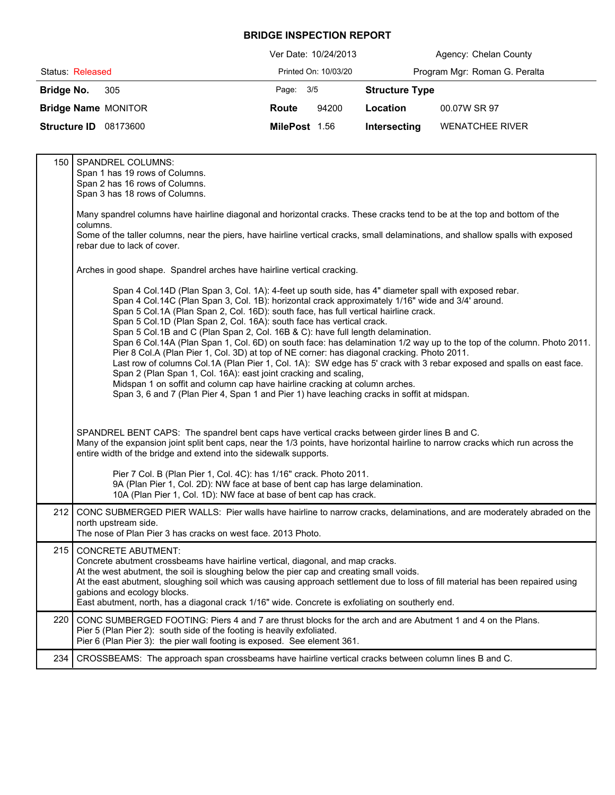|                                 | Ver Date: 10/24/2013 | Agency: Chelan County                  |
|---------------------------------|----------------------|----------------------------------------|
| Status: Released                | Printed On: 10/03/20 | Program Mgr: Roman G. Peralta          |
| Bridge No.<br>305               | Page: 3/5            | <b>Structure Type</b>                  |
| <b>Bridge Name MONITOR</b>      | 94200<br>Route       | 00.07W SR 97<br>Location               |
| <b>Structure ID</b><br>08173600 | MilePost 1.56        | <b>WENATCHEE RIVER</b><br>Intersecting |

| 150 | <b>SPANDREL COLUMNS:</b><br>Span 1 has 19 rows of Columns.<br>Span 2 has 16 rows of Columns.<br>Span 3 has 18 rows of Columns.                                                                                                                                                                                                                                                                                                                                                                                                                                                                                                                                                                                                                                                                                                                                                                                                                                                                                                                                      |
|-----|---------------------------------------------------------------------------------------------------------------------------------------------------------------------------------------------------------------------------------------------------------------------------------------------------------------------------------------------------------------------------------------------------------------------------------------------------------------------------------------------------------------------------------------------------------------------------------------------------------------------------------------------------------------------------------------------------------------------------------------------------------------------------------------------------------------------------------------------------------------------------------------------------------------------------------------------------------------------------------------------------------------------------------------------------------------------|
|     | Many spandrel columns have hairline diagonal and horizontal cracks. These cracks tend to be at the top and bottom of the<br>columns.                                                                                                                                                                                                                                                                                                                                                                                                                                                                                                                                                                                                                                                                                                                                                                                                                                                                                                                                |
|     | Some of the taller columns, near the piers, have hairline vertical cracks, small delaminations, and shallow spalls with exposed<br>rebar due to lack of cover.                                                                                                                                                                                                                                                                                                                                                                                                                                                                                                                                                                                                                                                                                                                                                                                                                                                                                                      |
|     | Arches in good shape. Spandrel arches have hairline vertical cracking.                                                                                                                                                                                                                                                                                                                                                                                                                                                                                                                                                                                                                                                                                                                                                                                                                                                                                                                                                                                              |
|     | Span 4 Col.14D (Plan Span 3, Col. 1A): 4-feet up south side, has 4" diameter spall with exposed rebar.<br>Span 4 Col.14C (Plan Span 3, Col. 1B): horizontal crack approximately 1/16" wide and 3/4' around.<br>Span 5 Col.1A (Plan Span 2, Col. 16D): south face, has full vertical hairline crack.<br>Span 5 Col.1D (Plan Span 2, Col. 16A): south face has vertical crack.<br>Span 5 Col.1B and C (Plan Span 2, Col. 16B & C): have full length delamination.<br>Span 6 Col.14A (Plan Span 1, Col. 6D) on south face: has delamination 1/2 way up to the top of the column. Photo 2011.<br>Pier 8 Col.A (Plan Pier 1, Col. 3D) at top of NE corner: has diagonal cracking. Photo 2011.<br>Last row of columns Col.1A (Plan Pier 1, Col. 1A): SW edge has 5' crack with 3 rebar exposed and spalls on east face.<br>Span 2 (Plan Span 1, Col. 16A): east joint cracking and scaling,<br>Midspan 1 on soffit and column cap have hairline cracking at column arches.<br>Span 3, 6 and 7 (Plan Pier 4, Span 1 and Pier 1) have leaching cracks in soffit at midspan. |
|     | SPANDREL BENT CAPS: The spandrel bent caps have vertical cracks between girder lines B and C.<br>Many of the expansion joint split bent caps, near the 1/3 points, have horizontal hairline to narrow cracks which run across the<br>entire width of the bridge and extend into the sidewalk supports.                                                                                                                                                                                                                                                                                                                                                                                                                                                                                                                                                                                                                                                                                                                                                              |
|     | Pier 7 Col. B (Plan Pier 1, Col. 4C): has 1/16" crack. Photo 2011.<br>9A (Plan Pier 1, Col. 2D): NW face at base of bent cap has large delamination.<br>10A (Plan Pier 1, Col. 1D): NW face at base of bent cap has crack.                                                                                                                                                                                                                                                                                                                                                                                                                                                                                                                                                                                                                                                                                                                                                                                                                                          |
| 212 | CONC SUBMERGED PIER WALLS: Pier walls have hairline to narrow cracks, delaminations, and are moderately abraded on the<br>north upstream side.<br>The nose of Plan Pier 3 has cracks on west face, 2013 Photo.                                                                                                                                                                                                                                                                                                                                                                                                                                                                                                                                                                                                                                                                                                                                                                                                                                                      |
| 215 | <b>CONCRETE ABUTMENT:</b><br>Concrete abutment crossbeams have hairline vertical, diagonal, and map cracks.<br>At the west abutment, the soil is sloughing below the pier cap and creating small voids.<br>At the east abutment, sloughing soil which was causing approach settlement due to loss of fill material has been repaired using<br>gabions and ecology blocks.<br>East abutment, north, has a diagonal crack 1/16" wide. Concrete is exfoliating on southerly end.                                                                                                                                                                                                                                                                                                                                                                                                                                                                                                                                                                                       |
| 220 | CONC SUMBERGED FOOTING: Piers 4 and 7 are thrust blocks for the arch and are Abutment 1 and 4 on the Plans.<br>Pier 5 (Plan Pier 2): south side of the footing is heavily exfoliated.<br>Pier 6 (Plan Pier 3): the pier wall footing is exposed. See element 361.                                                                                                                                                                                                                                                                                                                                                                                                                                                                                                                                                                                                                                                                                                                                                                                                   |
| 234 | CROSSBEAMS: The approach span crossbeams have hairline vertical cracks between column lines B and C.                                                                                                                                                                                                                                                                                                                                                                                                                                                                                                                                                                                                                                                                                                                                                                                                                                                                                                                                                                |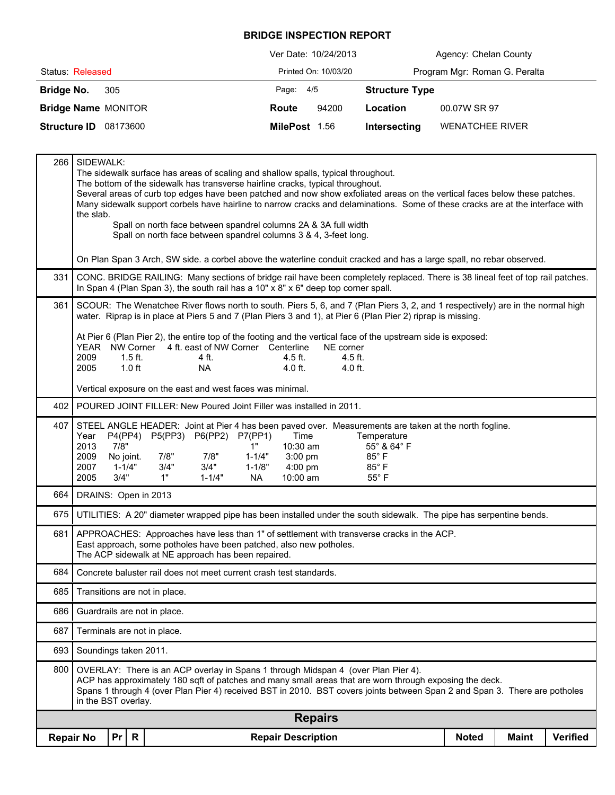|                                 | Ver Date: 10/24/2013 | Agency: Chelan County                  |
|---------------------------------|----------------------|----------------------------------------|
| Status: Released                | Printed On: 10/03/20 | Program Mgr: Roman G. Peralta          |
| Bridge No.<br>305               | Page: 4/5            | <b>Structure Type</b>                  |
| <b>Bridge Name MONITOR</b>      | 94200<br>Route       | 00.07W SR 97<br>Location               |
| <b>Structure ID</b><br>08173600 | MilePost 1.56        | <b>WENATCHEE RIVER</b><br>Intersecting |

| 266 |                                                                                                                                                                                                                                                                                                                                                             | SIDEWALK:<br>The sidewalk surface has areas of scaling and shallow spalls, typical throughout.<br>The bottom of the sidewalk has transverse hairline cracks, typical throughout.<br>Several areas of curb top edges have been patched and now show exfoliated areas on the vertical faces below these patches.<br>Many sidewalk support corbels have hairline to narrow cracks and delaminations. Some of these cracks are at the interface with<br>the slab.<br>Spall on north face between spandrel columns 2A & 3A full width<br>Spall on north face between spandrel columns 3 & 4, 3-feet long. |                                                       |                            |                                             |                                                                                    |  |                                                                                                                                                                                                                                                                                                                            |              |              |                 |
|-----|-------------------------------------------------------------------------------------------------------------------------------------------------------------------------------------------------------------------------------------------------------------------------------------------------------------------------------------------------------------|------------------------------------------------------------------------------------------------------------------------------------------------------------------------------------------------------------------------------------------------------------------------------------------------------------------------------------------------------------------------------------------------------------------------------------------------------------------------------------------------------------------------------------------------------------------------------------------------------|-------------------------------------------------------|----------------------------|---------------------------------------------|------------------------------------------------------------------------------------|--|----------------------------------------------------------------------------------------------------------------------------------------------------------------------------------------------------------------------------------------------------------------------------------------------------------------------------|--------------|--------------|-----------------|
|     |                                                                                                                                                                                                                                                                                                                                                             |                                                                                                                                                                                                                                                                                                                                                                                                                                                                                                                                                                                                      |                                                       |                            |                                             |                                                                                    |  | On Plan Span 3 Arch, SW side. a corbel above the waterline conduit cracked and has a large spall, no rebar observed.                                                                                                                                                                                                       |              |              |                 |
| 331 |                                                                                                                                                                                                                                                                                                                                                             |                                                                                                                                                                                                                                                                                                                                                                                                                                                                                                                                                                                                      |                                                       |                            |                                             | In Span 4 (Plan Span 3), the south rail has a 10" x 8" x 6" deep top corner spall. |  | CONC. BRIDGE RAILING: Many sections of bridge rail have been completely replaced. There is 38 lineal feet of top rail patches.                                                                                                                                                                                             |              |              |                 |
| 361 | SCOUR: The Wenatchee River flows north to south. Piers 5, 6, and 7 (Plan Piers 3, 2, and 1 respectively) are in the normal high<br>water. Riprap is in place at Piers 5 and 7 (Plan Piers 3 and 1), at Pier 6 (Plan Pier 2) riprap is missing.                                                                                                              |                                                                                                                                                                                                                                                                                                                                                                                                                                                                                                                                                                                                      |                                                       |                            |                                             |                                                                                    |  |                                                                                                                                                                                                                                                                                                                            |              |              |                 |
|     | At Pier 6 (Plan Pier 2), the entire top of the footing and the vertical face of the upstream side is exposed:<br>YEAR NW Corner 4 ft. east of NW Corner Centerline<br>NE corner<br>2009<br>$1.5$ ft.<br>$4.5$ ft.<br>4.5 ft.<br>4 ft.<br>2005<br>$1.0$ ft<br>$4.0$ ft.<br>4.0 ft.<br><b>NA</b><br>Vertical exposure on the east and west faces was minimal. |                                                                                                                                                                                                                                                                                                                                                                                                                                                                                                                                                                                                      |                                                       |                            |                                             |                                                                                    |  |                                                                                                                                                                                                                                                                                                                            |              |              |                 |
| 402 |                                                                                                                                                                                                                                                                                                                                                             |                                                                                                                                                                                                                                                                                                                                                                                                                                                                                                                                                                                                      |                                                       |                            |                                             | POURED JOINT FILLER: New Poured Joint Filler was installed in 2011.                |  |                                                                                                                                                                                                                                                                                                                            |              |              |                 |
| 407 | Year<br>2013<br>2009<br>2007<br>2005                                                                                                                                                                                                                                                                                                                        | 7/8"<br>No joint.<br>$1 - 1/4"$<br>3/4"                                                                                                                                                                                                                                                                                                                                                                                                                                                                                                                                                              | P4(PP4) P5(PP3) P6(PP2) P7(PP1)<br>7/8"<br>3/4"<br>1" | 7/8"<br>3/4"<br>$1 - 1/4"$ | 1"<br>$1 - 1/4"$<br>$1 - 1/8"$<br><b>NA</b> | Time<br>10:30 am<br>$3:00$ pm<br>4:00 pm<br>10:00 am                               |  | STEEL ANGLE HEADER: Joint at Pier 4 has been paved over. Measurements are taken at the north fogline.<br>Temperature<br>55° & 64° F<br>85°F<br>85°F<br>$55^{\circ}$ F                                                                                                                                                      |              |              |                 |
| 664 |                                                                                                                                                                                                                                                                                                                                                             | DRAINS: Open in 2013                                                                                                                                                                                                                                                                                                                                                                                                                                                                                                                                                                                 |                                                       |                            |                                             |                                                                                    |  |                                                                                                                                                                                                                                                                                                                            |              |              |                 |
| 675 |                                                                                                                                                                                                                                                                                                                                                             |                                                                                                                                                                                                                                                                                                                                                                                                                                                                                                                                                                                                      |                                                       |                            |                                             |                                                                                    |  | UTILITIES: A 20" diameter wrapped pipe has been installed under the south sidewalk. The pipe has serpentine bends.                                                                                                                                                                                                         |              |              |                 |
| 681 |                                                                                                                                                                                                                                                                                                                                                             |                                                                                                                                                                                                                                                                                                                                                                                                                                                                                                                                                                                                      | The ACP sidewalk at NE approach has been repaired.    |                            |                                             | East approach, some potholes have been patched, also new potholes.                 |  | APPROACHES: Approaches have less than 1" of settlement with transverse cracks in the ACP.                                                                                                                                                                                                                                  |              |              |                 |
| 684 |                                                                                                                                                                                                                                                                                                                                                             |                                                                                                                                                                                                                                                                                                                                                                                                                                                                                                                                                                                                      |                                                       |                            |                                             | Concrete baluster rail does not meet current crash test standards.                 |  |                                                                                                                                                                                                                                                                                                                            |              |              |                 |
| 685 |                                                                                                                                                                                                                                                                                                                                                             |                                                                                                                                                                                                                                                                                                                                                                                                                                                                                                                                                                                                      | Transitions are not in place.                         |                            |                                             |                                                                                    |  |                                                                                                                                                                                                                                                                                                                            |              |              |                 |
| 686 |                                                                                                                                                                                                                                                                                                                                                             |                                                                                                                                                                                                                                                                                                                                                                                                                                                                                                                                                                                                      | Guardrails are not in place.                          |                            |                                             |                                                                                    |  |                                                                                                                                                                                                                                                                                                                            |              |              |                 |
| 687 |                                                                                                                                                                                                                                                                                                                                                             | Terminals are not in place.                                                                                                                                                                                                                                                                                                                                                                                                                                                                                                                                                                          |                                                       |                            |                                             |                                                                                    |  |                                                                                                                                                                                                                                                                                                                            |              |              |                 |
| 693 |                                                                                                                                                                                                                                                                                                                                                             | Soundings taken 2011.                                                                                                                                                                                                                                                                                                                                                                                                                                                                                                                                                                                |                                                       |                            |                                             |                                                                                    |  |                                                                                                                                                                                                                                                                                                                            |              |              |                 |
| 800 |                                                                                                                                                                                                                                                                                                                                                             | in the BST overlay.                                                                                                                                                                                                                                                                                                                                                                                                                                                                                                                                                                                  |                                                       |                            |                                             |                                                                                    |  | OVERLAY: There is an ACP overlay in Spans 1 through Midspan 4 (over Plan Pier 4).<br>ACP has approximately 180 sqft of patches and many small areas that are worn through exposing the deck.<br>Spans 1 through 4 (over Plan Pier 4) received BST in 2010. BST covers joints between Span 2 and Span 3. There are potholes |              |              |                 |
|     |                                                                                                                                                                                                                                                                                                                                                             |                                                                                                                                                                                                                                                                                                                                                                                                                                                                                                                                                                                                      |                                                       |                            |                                             | <b>Repairs</b>                                                                     |  |                                                                                                                                                                                                                                                                                                                            |              |              |                 |
|     | <b>Repair No</b>                                                                                                                                                                                                                                                                                                                                            | $\mathsf{R}$<br>Pr                                                                                                                                                                                                                                                                                                                                                                                                                                                                                                                                                                                   |                                                       |                            |                                             | <b>Repair Description</b>                                                          |  |                                                                                                                                                                                                                                                                                                                            | <b>Noted</b> | <b>Maint</b> | <b>Verified</b> |